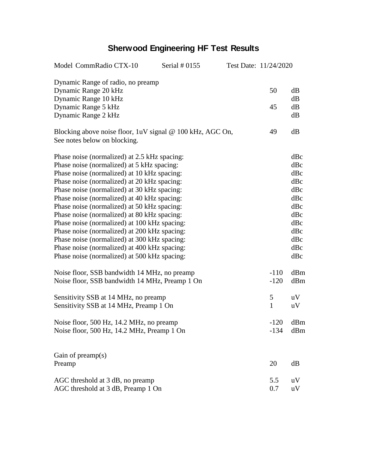## **Sherwood Engineering HF Test Results**

| Model CommRadio CTX-10<br>Serial $#0155$                                                  |  | Test Date: 11/24/2020 |              |            |
|-------------------------------------------------------------------------------------------|--|-----------------------|--------------|------------|
| Dynamic Range of radio, no preamp                                                         |  |                       |              |            |
| Dynamic Range 20 kHz<br>Dynamic Range 10 kHz                                              |  |                       | 50           | dB<br>dB   |
| Dynamic Range 5 kHz                                                                       |  |                       | 45           | dB         |
| Dynamic Range 2 kHz                                                                       |  |                       |              | dB         |
| Blocking above noise floor, 1uV signal @ 100 kHz, AGC On,<br>See notes below on blocking. |  |                       | 49           | dB         |
| Phase noise (normalized) at 2.5 kHz spacing:                                              |  |                       |              | dBc        |
| Phase noise (normalized) at 5 kHz spacing:                                                |  |                       |              | dBc        |
| Phase noise (normalized) at 10 kHz spacing:                                               |  |                       |              | dBc        |
| Phase noise (normalized) at 20 kHz spacing:                                               |  |                       |              | dBc        |
| Phase noise (normalized) at 30 kHz spacing:                                               |  |                       |              | dBc        |
| Phase noise (normalized) at 40 kHz spacing:                                               |  |                       |              | dBc        |
| Phase noise (normalized) at 50 kHz spacing:                                               |  |                       |              | dBc        |
| Phase noise (normalized) at 80 kHz spacing:                                               |  |                       |              | dBc        |
| Phase noise (normalized) at 100 kHz spacing:                                              |  |                       |              | dBc        |
| Phase noise (normalized) at 200 kHz spacing:                                              |  |                       |              | dBc        |
| Phase noise (normalized) at 300 kHz spacing:                                              |  |                       |              | dBc        |
| Phase noise (normalized) at 400 kHz spacing:                                              |  |                       |              | dBc<br>dBc |
| Phase noise (normalized) at 500 kHz spacing:                                              |  |                       |              |            |
| Noise floor, SSB bandwidth 14 MHz, no preamp                                              |  |                       | $-110$       | dBm        |
| Noise floor, SSB bandwidth 14 MHz, Preamp 1 On                                            |  |                       | $-120$       | dBm        |
| Sensitivity SSB at 14 MHz, no preamp                                                      |  |                       | 5            | uV         |
| Sensitivity SSB at 14 MHz, Preamp 1 On                                                    |  |                       | $\mathbf{1}$ | uV         |
| Noise floor, 500 Hz, 14.2 MHz, no preamp                                                  |  |                       | $-120$       | dBm        |
| Noise floor, 500 Hz, 14.2 MHz, Preamp 1 On                                                |  |                       | $-134$       | dBm        |
| Gain of preamp(s)                                                                         |  |                       |              |            |
| Preamp                                                                                    |  |                       | 20           | dB         |
| AGC threshold at 3 dB, no preamp                                                          |  |                       | 5.5          | uV         |
| AGC threshold at 3 dB, Preamp 1 On                                                        |  |                       | 0.7          | uV         |